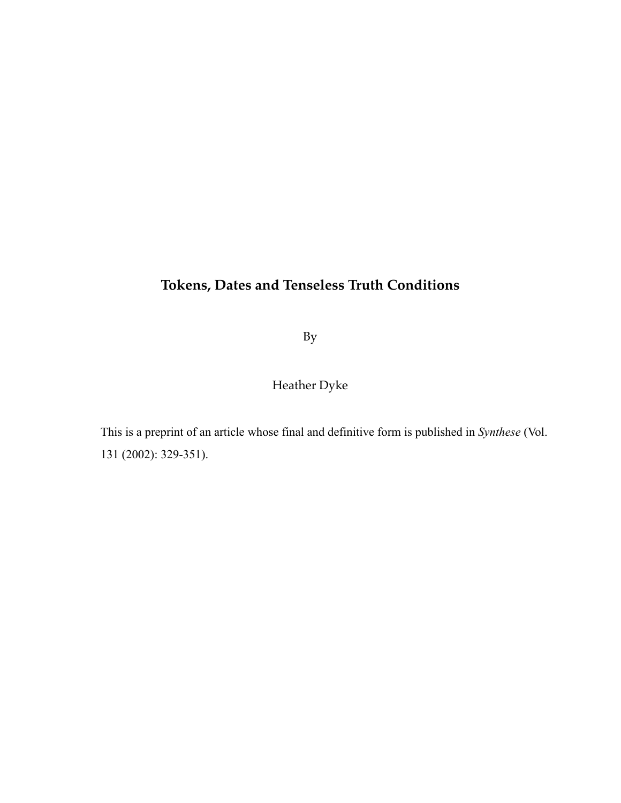# **Tokens, Dates and Tenseless Truth Conditions**

By

Heather Dyke

This is a preprint of an article whose final and definitive form is published in *Synthese* (Vol. 131 (2002): 329-351).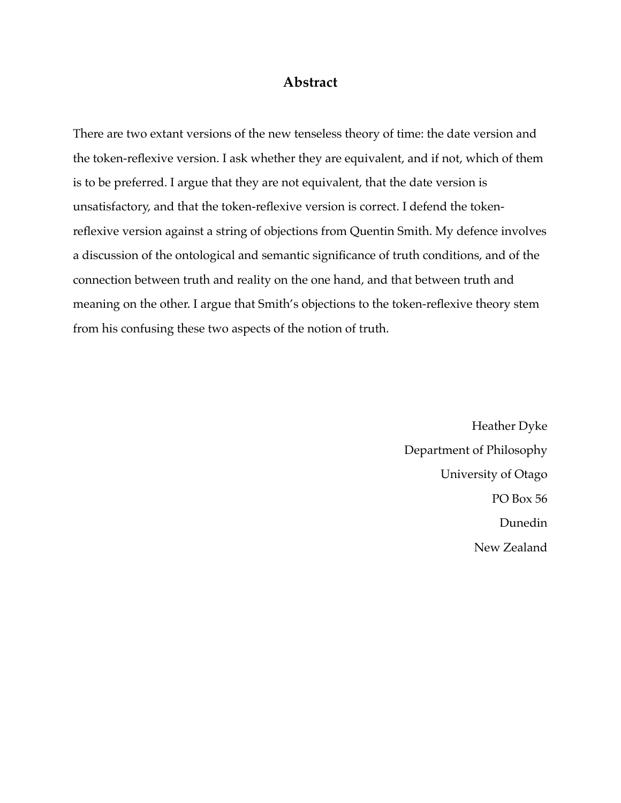# **Abstract**

There are two extant versions of the new tenseless theory of time: the date version and the token-reflexive version. I ask whether they are equivalent, and if not, which of them is to be preferred. I argue that they are not equivalent, that the date version is unsatisfactory, and that the token-reflexive version is correct. I defend the tokenreflexive version against a string of objections from Quentin Smith. My defence involves a discussion of the ontological and semantic significance of truth conditions, and of the connection between truth and reality on the one hand, and that between truth and meaning on the other. I argue that Smith's objections to the token-reflexive theory stem from his confusing these two aspects of the notion of truth.

> Heather Dyke Department of Philosophy University of Otago PO Box 56 Dunedin New Zealand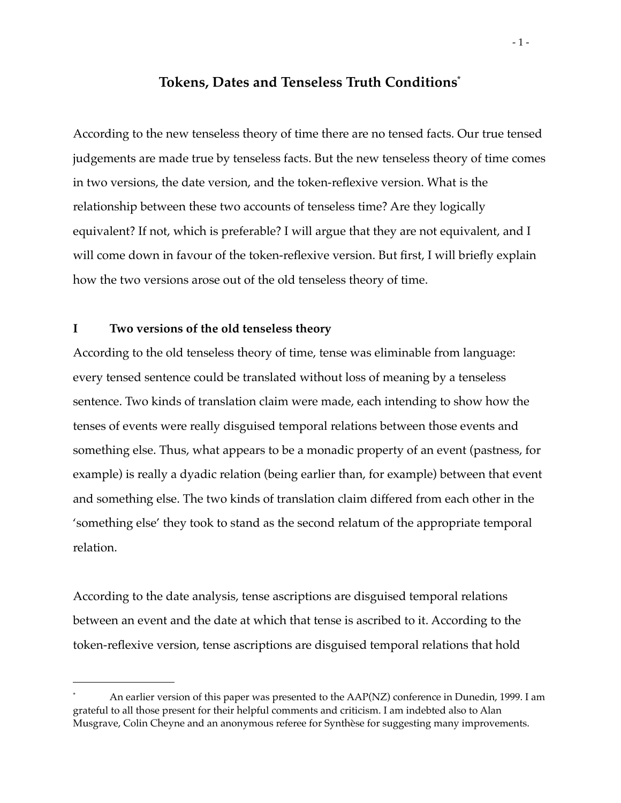# **Tokens, Dates and Tenseless Truth Condition[s\\*](#page-2-0)**

According to the new tenseless theory of time there are no tensed facts. Our true tensed judgements are made true by tenseless facts. But the new tenseless theory of time comes in two versions, the date version, and the token-reflexive version. What is the relationship between these two accounts of tenseless time? Are they logically equivalent? If not, which is preferable? I will argue that they are not equivalent, and I will come down in favour of the token-reflexive version. But first, I will briefly explain how the two versions arose out of the old tenseless theory of time.

# **I Two versions of the old tenseless theory**

According to the old tenseless theory of time, tense was eliminable from language: every tensed sentence could be translated without loss of meaning by a tenseless sentence. Two kinds of translation claim were made, each intending to show how the tenses of events were really disguised temporal relations between those events and something else. Thus, what appears to be a monadic property of an event (pastness, for example) is really a dyadic relation (being earlier than, for example) between that event and something else. The two kinds of translation claim differed from each other in the 'something else' they took to stand as the second relatum of the appropriate temporal relation.

According to the date analysis, tense ascriptions are disguised temporal relations between an event and the date at which that tense is ascribed to it. According to the token-reflexive version, tense ascriptions are disguised temporal relations that hold

<span id="page-2-0"></span>An earlier version of this paper was presented to the AAP(NZ) conference in Dunedin, 1999. I am grateful to all those present for their helpful comments and criticism. I am indebted also to Alan Musgrave, Colin Cheyne and an anonymous referee for Synthèse for suggesting many improvements.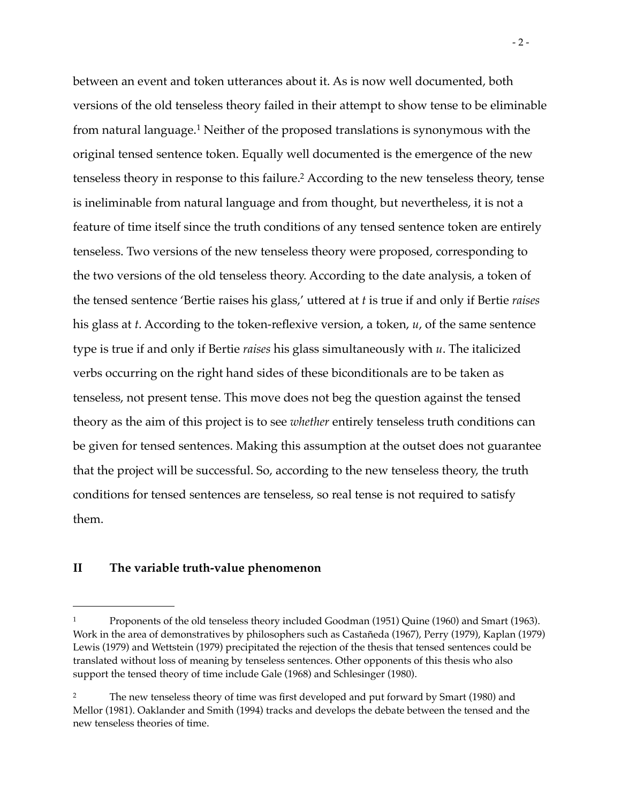between an event and token utterances about it. As is now well documented, both versions of the old tenseless theory failed in their attempt to show tense to be eliminable from natural language.[1](#page-3-0) Neither of the proposed translations is synonymous with the original tensed sentence token. Equally well documented is the emergence of the new tenseless theory in response to this failure[.2](#page-3-1) According to the new tenseless theory, tense is ineliminable from natural language and from thought, but nevertheless, it is not a feature of time itself since the truth conditions of any tensed sentence token are entirely tenseless. Two versions of the new tenseless theory were proposed, corresponding to the two versions of the old tenseless theory. According to the date analysis, a token of the tensed sentence 'Bertie raises his glass,' uttered at *t* is true if and only if Bertie *raises* his glass at *t*. According to the token-reflexive version, a token, *u*, of the same sentence type is true if and only if Bertie *raises* his glass simultaneously with *u*. The italicized verbs occurring on the right hand sides of these biconditionals are to be taken as tenseless, not present tense. This move does not beg the question against the tensed theory as the aim of this project is to see *whether* entirely tenseless truth conditions can be given for tensed sentences. Making this assumption at the outset does not guarantee that the project will be successful. So, according to the new tenseless theory, the truth conditions for tensed sentences are tenseless, so real tense is not required to satisfy them.

## **II The variable truth-value phenomenon**

<span id="page-3-0"></span><sup>1</sup> Proponents of the old tenseless theory included Goodman (1951) Quine (1960) and Smart (1963). Work in the area of demonstratives by philosophers such as Castañeda (1967), Perry (1979), Kaplan (1979) Lewis (1979) and Wettstein (1979) precipitated the rejection of the thesis that tensed sentences could be translated without loss of meaning by tenseless sentences. Other opponents of this thesis who also support the tensed theory of time include Gale (1968) and Schlesinger (1980).

<span id="page-3-1"></span><sup>2</sup> The new tenseless theory of time was first developed and put forward by Smart (1980) and Mellor (1981). Oaklander and Smith (1994) tracks and develops the debate between the tensed and the new tenseless theories of time.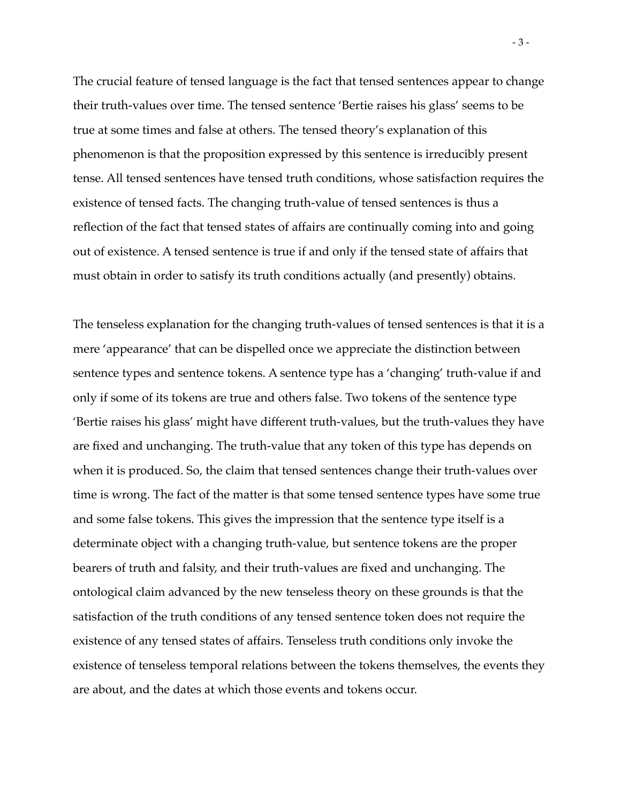The crucial feature of tensed language is the fact that tensed sentences appear to change their truth-values over time. The tensed sentence 'Bertie raises his glass' seems to be true at some times and false at others. The tensed theory's explanation of this phenomenon is that the proposition expressed by this sentence is irreducibly present tense. All tensed sentences have tensed truth conditions, whose satisfaction requires the existence of tensed facts. The changing truth-value of tensed sentences is thus a reflection of the fact that tensed states of affairs are continually coming into and going out of existence. A tensed sentence is true if and only if the tensed state of affairs that must obtain in order to satisfy its truth conditions actually (and presently) obtains.

The tenseless explanation for the changing truth-values of tensed sentences is that it is a mere 'appearance' that can be dispelled once we appreciate the distinction between sentence types and sentence tokens. A sentence type has a 'changing' truth-value if and only if some of its tokens are true and others false. Two tokens of the sentence type 'Bertie raises his glass' might have different truth-values, but the truth-values they have are fixed and unchanging. The truth-value that any token of this type has depends on when it is produced. So, the claim that tensed sentences change their truth-values over time is wrong. The fact of the matter is that some tensed sentence types have some true and some false tokens. This gives the impression that the sentence type itself is a determinate object with a changing truth-value, but sentence tokens are the proper bearers of truth and falsity, and their truth-values are fixed and unchanging. The ontological claim advanced by the new tenseless theory on these grounds is that the satisfaction of the truth conditions of any tensed sentence token does not require the existence of any tensed states of affairs. Tenseless truth conditions only invoke the existence of tenseless temporal relations between the tokens themselves, the events they are about, and the dates at which those events and tokens occur.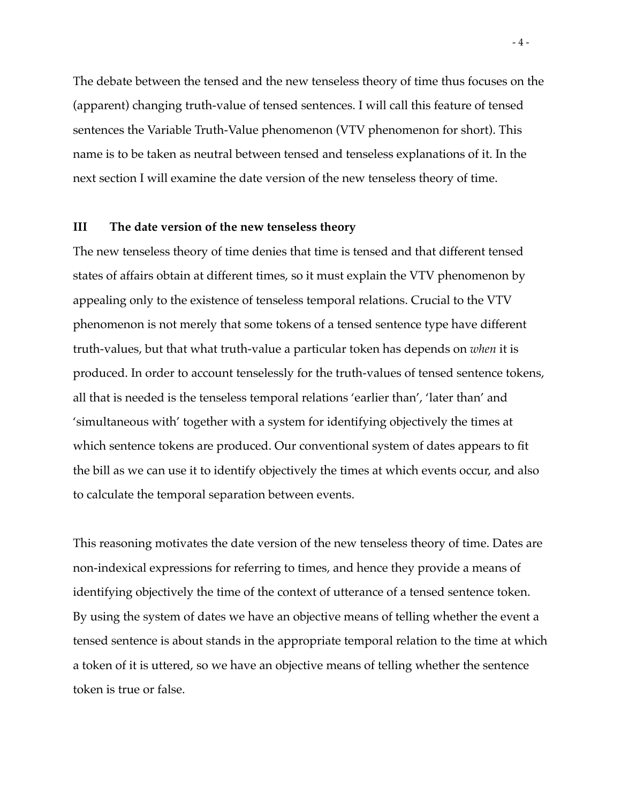The debate between the tensed and the new tenseless theory of time thus focuses on the (apparent) changing truth-value of tensed sentences. I will call this feature of tensed sentences the Variable Truth-Value phenomenon (VTV phenomenon for short). This name is to be taken as neutral between tensed and tenseless explanations of it. In the next section I will examine the date version of the new tenseless theory of time.

#### **III The date version of the new tenseless theory**

The new tenseless theory of time denies that time is tensed and that different tensed states of affairs obtain at different times, so it must explain the VTV phenomenon by appealing only to the existence of tenseless temporal relations. Crucial to the VTV phenomenon is not merely that some tokens of a tensed sentence type have different truth-values, but that what truth-value a particular token has depends on *when* it is produced. In order to account tenselessly for the truth-values of tensed sentence tokens, all that is needed is the tenseless temporal relations 'earlier than', 'later than' and 'simultaneous with' together with a system for identifying objectively the times at which sentence tokens are produced. Our conventional system of dates appears to fit the bill as we can use it to identify objectively the times at which events occur, and also to calculate the temporal separation between events.

This reasoning motivates the date version of the new tenseless theory of time. Dates are non-indexical expressions for referring to times, and hence they provide a means of identifying objectively the time of the context of utterance of a tensed sentence token. By using the system of dates we have an objective means of telling whether the event a tensed sentence is about stands in the appropriate temporal relation to the time at which a token of it is uttered, so we have an objective means of telling whether the sentence token is true or false.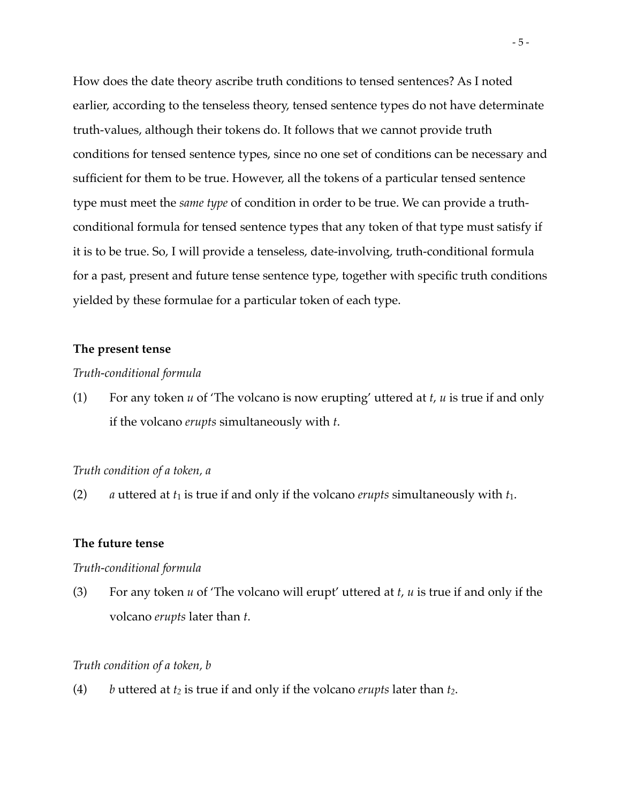How does the date theory ascribe truth conditions to tensed sentences? As I noted earlier, according to the tenseless theory, tensed sentence types do not have determinate truth-values, although their tokens do. It follows that we cannot provide truth conditions for tensed sentence types, since no one set of conditions can be necessary and sufficient for them to be true. However, all the tokens of a particular tensed sentence type must meet the *same type* of condition in order to be true. We can provide a truthconditional formula for tensed sentence types that any token of that type must satisfy if it is to be true. So, I will provide a tenseless, date-involving, truth-conditional formula for a past, present and future tense sentence type, together with specific truth conditions yielded by these formulae for a particular token of each type.

#### **The present tense**

#### *Truth-conditional formula*

(1) For any token *u* of 'The volcano is now erupting' uttered at *t*, *u* is true if and only if the volcano *erupts* simultaneously with *t*.

#### *Truth condition of a token, a*

(2)  $a$  uttered at  $t_1$  is true if and only if the volcano *erupts* simultaneously with  $t_1$ .

# **The future tense**

#### *Truth-conditional formula*

(3) For any token *u* of 'The volcano will erupt' uttered at *t*, *u* is true if and only if the volcano *erupts* later than *t*.

#### *Truth condition of a token, b*

(4) *b* uttered at  $t_2$  is true if and only if the volcano *erupts* later than  $t_2$ .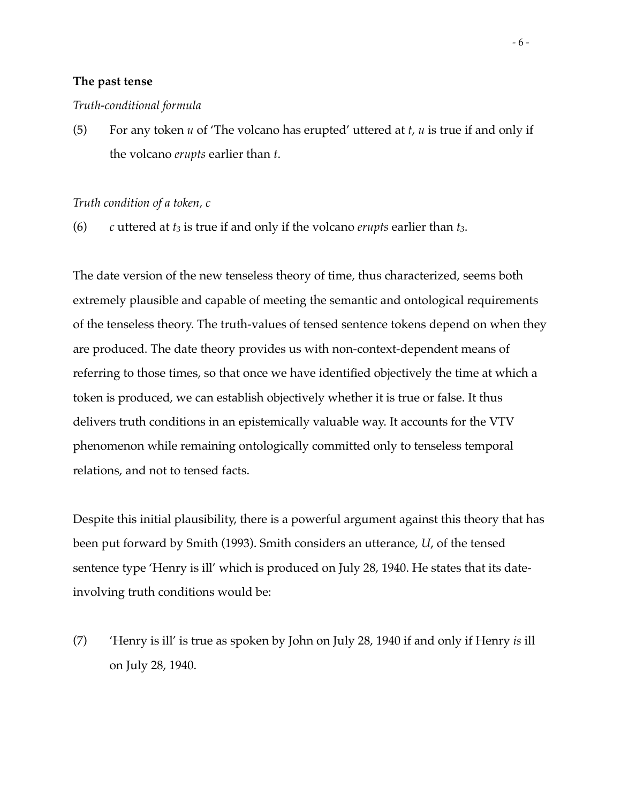### **The past tense**

#### *Truth-conditional formula*

(5) For any token *u* of 'The volcano has erupted' uttered at *t*, *u* is true if and only if the volcano *erupts* earlier than *t*.

*Truth condition of a token, c*

(6) *c* uttered at *t3* is true if and only if the volcano *erupts* earlier than *t3*.

The date version of the new tenseless theory of time, thus characterized, seems both extremely plausible and capable of meeting the semantic and ontological requirements of the tenseless theory. The truth-values of tensed sentence tokens depend on when they are produced. The date theory provides us with non-context-dependent means of referring to those times, so that once we have identified objectively the time at which a token is produced, we can establish objectively whether it is true or false. It thus delivers truth conditions in an epistemically valuable way. It accounts for the VTV phenomenon while remaining ontologically committed only to tenseless temporal relations, and not to tensed facts.

Despite this initial plausibility, there is a powerful argument against this theory that has been put forward by Smith (1993). Smith considers an utterance, *U*, of the tensed sentence type 'Henry is ill' which is produced on July 28, 1940. He states that its dateinvolving truth conditions would be:

(7) 'Henry is ill' is true as spoken by John on July 28, 1940 if and only if Henry *is* ill on July 28, 1940.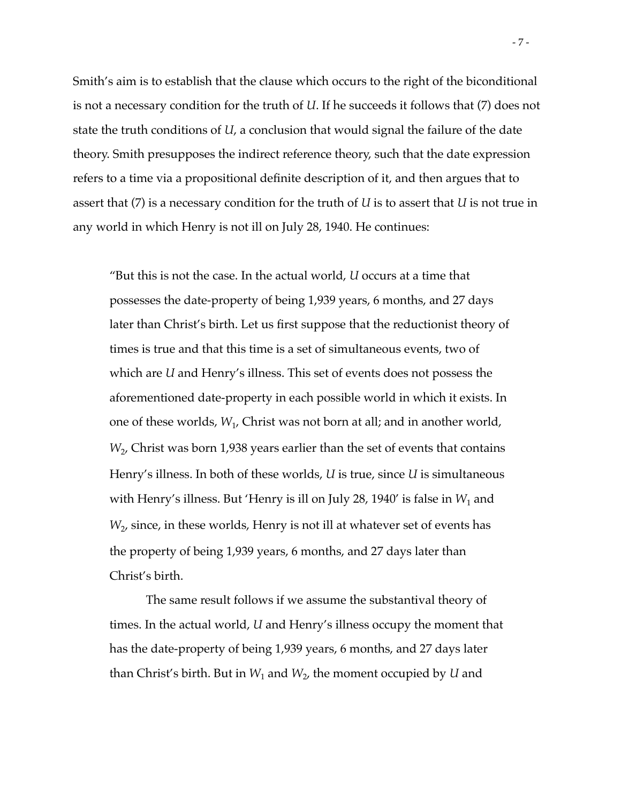Smith's aim is to establish that the clause which occurs to the right of the biconditional is not a necessary condition for the truth of *U*. If he succeeds it follows that (7) does not state the truth conditions of *U*, a conclusion that would signal the failure of the date theory. Smith presupposes the indirect reference theory, such that the date expression refers to a time via a propositional definite description of it, and then argues that to assert that (7) is a necessary condition for the truth of *U* is to assert that *U* is not true in any world in which Henry is not ill on July 28, 1940. He continues:

"But this is not the case. In the actual world, *U* occurs at a time that possesses the date-property of being 1,939 years, 6 months, and 27 days later than Christ's birth. Let us first suppose that the reductionist theory of times is true and that this time is a set of simultaneous events, two of which are *U* and Henry's illness. This set of events does not possess the aforementioned date-property in each possible world in which it exists. In one of these worlds, *W*1, Christ was not born at all; and in another world, *W*<sub>2</sub>, Christ was born 1,938 years earlier than the set of events that contains Henry's illness. In both of these worlds, *U* is true, since *U* is simultaneous with Henry's illness. But 'Henry is ill on July 28, 1940' is false in  $W_1$  and *W*<sub>2</sub>, since, in these worlds, Henry is not ill at whatever set of events has the property of being 1,939 years, 6 months, and 27 days later than Christ's birth.

The same result follows if we assume the substantival theory of times. In the actual world, *U* and Henry's illness occupy the moment that has the date-property of being 1,939 years, 6 months, and 27 days later than Christ's birth. But in  $W_1$  and  $W_2$ , the moment occupied by U and

- 7 -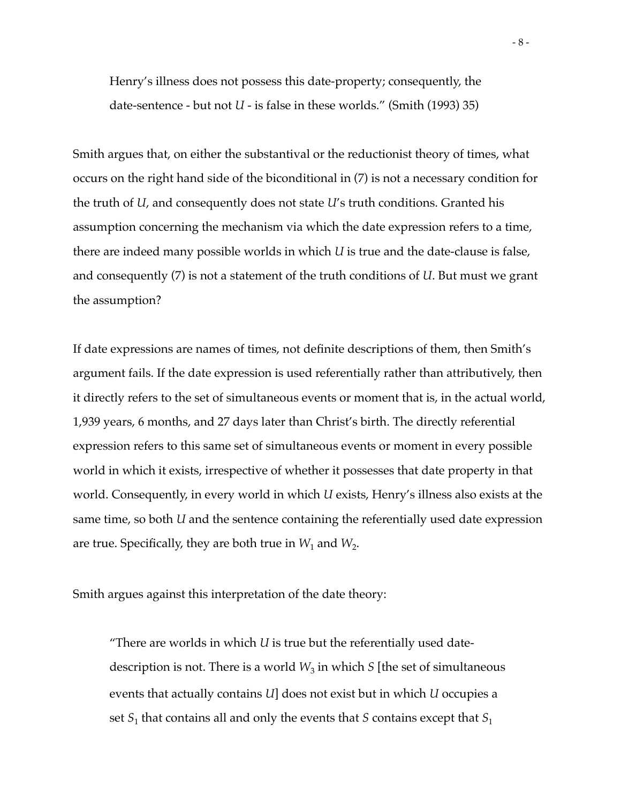Henry's illness does not possess this date-property; consequently, the date-sentence - but not *U* - is false in these worlds." (Smith (1993) 35)

Smith argues that, on either the substantival or the reductionist theory of times, what occurs on the right hand side of the biconditional in (7) is not a necessary condition for the truth of *U*, and consequently does not state *U*'s truth conditions. Granted his assumption concerning the mechanism via which the date expression refers to a time, there are indeed many possible worlds in which *U* is true and the date-clause is false, and consequently (7) is not a statement of the truth conditions of *U*. But must we grant the assumption?

If date expressions are names of times, not definite descriptions of them, then Smith's argument fails. If the date expression is used referentially rather than attributively, then it directly refers to the set of simultaneous events or moment that is, in the actual world, 1,939 years, 6 months, and 27 days later than Christ's birth. The directly referential expression refers to this same set of simultaneous events or moment in every possible world in which it exists, irrespective of whether it possesses that date property in that world. Consequently, in every world in which *U* exists, Henry's illness also exists at the same time, so both *U* and the sentence containing the referentially used date expression are true. Specifically, they are both true in  $W_1$  and  $W_2$ .

Smith argues against this interpretation of the date theory:

"There are worlds in which *U* is true but the referentially used datedescription is not. There is a world  $W_3$  in which *S* [the set of simultaneous events that actually contains *U*] does not exist but in which *U* occupies a set  $S_1$  that contains all and only the events that *S* contains except that  $S_1$ 

- 8 -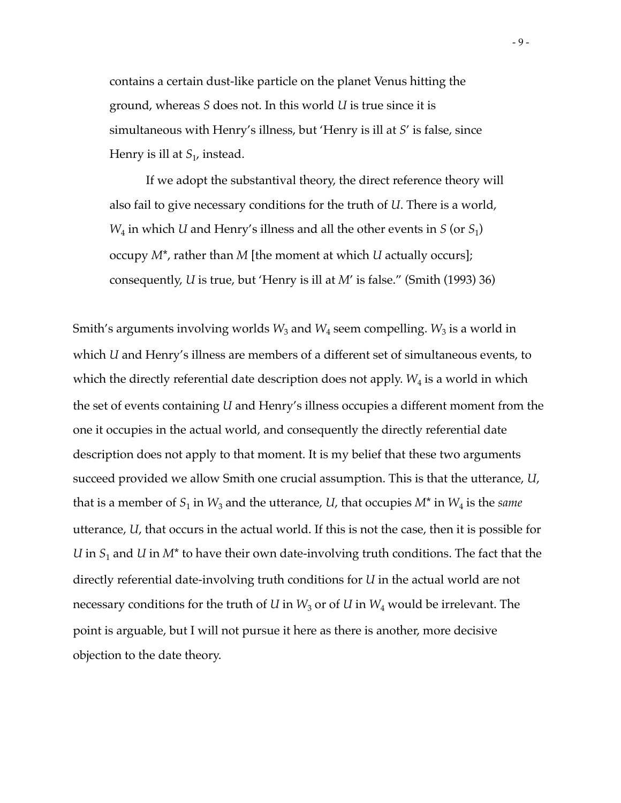contains a certain dust-like particle on the planet Venus hitting the ground, whereas *S* does not. In this world *U* is true since it is simultaneous with Henry's illness, but 'Henry is ill at *S*' is false, since Henry is ill at *S*1, instead.

If we adopt the substantival theory, the direct reference theory will also fail to give necessary conditions for the truth of *U*. There is a world,  $W_4$  in which *U* and Henry's illness and all the other events in *S* (or  $S_1$ ) occupy *M*\*, rather than *M* [the moment at which *U* actually occurs]; consequently, *U* is true, but 'Henry is ill at *M*' is false." (Smith (1993) 36)

Smith's arguments involving worlds  $W_3$  and  $W_4$  seem compelling.  $W_3$  is a world in which *U* and Henry's illness are members of a different set of simultaneous events, to which the directly referential date description does not apply.  $W_4$  is a world in which the set of events containing *U* and Henry's illness occupies a different moment from the one it occupies in the actual world, and consequently the directly referential date description does not apply to that moment. It is my belief that these two arguments succeed provided we allow Smith one crucial assumption. This is that the utterance, *U*, that is a member of  $S_1$  in  $W_3$  and the utterance, U, that occupies  $M^*$  in  $W_4$  is the *same* utterance, *U*, that occurs in the actual world. If this is not the case, then it is possible for *U* in *S*1 and *U* in *M*\* to have their own date-involving truth conditions. The fact that the directly referential date-involving truth conditions for *U* in the actual world are not necessary conditions for the truth of *U* in  $W_3$  or of *U* in  $W_4$  would be irrelevant. The point is arguable, but I will not pursue it here as there is another, more decisive objection to the date theory.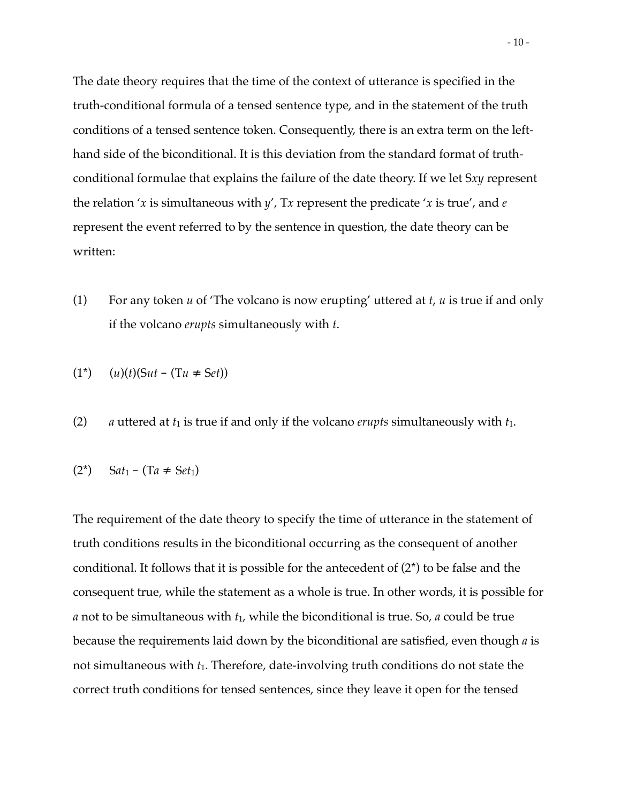The date theory requires that the time of the context of utterance is specified in the truth-conditional formula of a tensed sentence type, and in the statement of the truth conditions of a tensed sentence token. Consequently, there is an extra term on the lefthand side of the biconditional. It is this deviation from the standard format of truthconditional formulae that explains the failure of the date theory. If we let S*xy* represent the relation '*x* is simultaneous with *y*', T*x* represent the predicate '*x* is true', and *e* represent the event referred to by the sentence in question, the date theory can be written:

- (1) For any token *u* of 'The volcano is now erupting' uttered at *t*, *u* is true if and only if the volcano *erupts* simultaneously with *t*.
- $(1^*)$   $(u)(t)(Sut (Tu \neq Set))$
- (2) *a* uttered at  $t_1$  is true if and only if the volcano *erupts* simultaneously with  $t_1$ .

$$
(2^*) \quad Sat_1 - (Ta \ne Set_1)
$$

The requirement of the date theory to specify the time of utterance in the statement of truth conditions results in the biconditional occurring as the consequent of another conditional. It follows that it is possible for the antecedent of (2\*) to be false and the consequent true, while the statement as a whole is true. In other words, it is possible for *a* not to be simultaneous with *t*1, while the biconditional is true. So, *a* could be true because the requirements laid down by the biconditional are satisfied, even though *a* is not simultaneous with *t*1. Therefore, date-involving truth conditions do not state the correct truth conditions for tensed sentences, since they leave it open for the tensed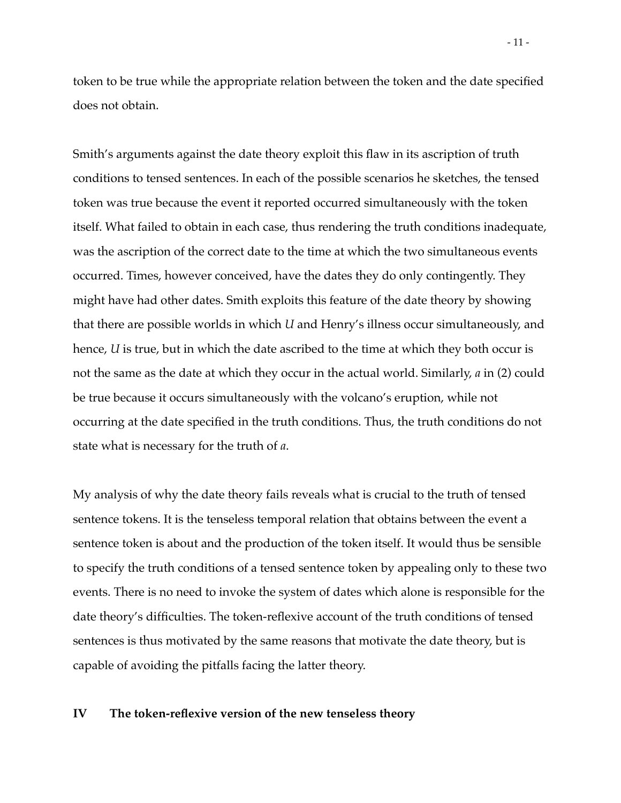token to be true while the appropriate relation between the token and the date specified does not obtain.

Smith's arguments against the date theory exploit this flaw in its ascription of truth conditions to tensed sentences. In each of the possible scenarios he sketches, the tensed token was true because the event it reported occurred simultaneously with the token itself. What failed to obtain in each case, thus rendering the truth conditions inadequate, was the ascription of the correct date to the time at which the two simultaneous events occurred. Times, however conceived, have the dates they do only contingently. They might have had other dates. Smith exploits this feature of the date theory by showing that there are possible worlds in which *U* and Henry's illness occur simultaneously, and hence, *U* is true, but in which the date ascribed to the time at which they both occur is not the same as the date at which they occur in the actual world. Similarly, *a* in (2) could be true because it occurs simultaneously with the volcano's eruption, while not occurring at the date specified in the truth conditions. Thus, the truth conditions do not state what is necessary for the truth of *a*.

My analysis of why the date theory fails reveals what is crucial to the truth of tensed sentence tokens. It is the tenseless temporal relation that obtains between the event a sentence token is about and the production of the token itself. It would thus be sensible to specify the truth conditions of a tensed sentence token by appealing only to these two events. There is no need to invoke the system of dates which alone is responsible for the date theory's difficulties. The token-reflexive account of the truth conditions of tensed sentences is thus motivated by the same reasons that motivate the date theory, but is capable of avoiding the pitfalls facing the latter theory.

# **IV The token-reflexive version of the new tenseless theory**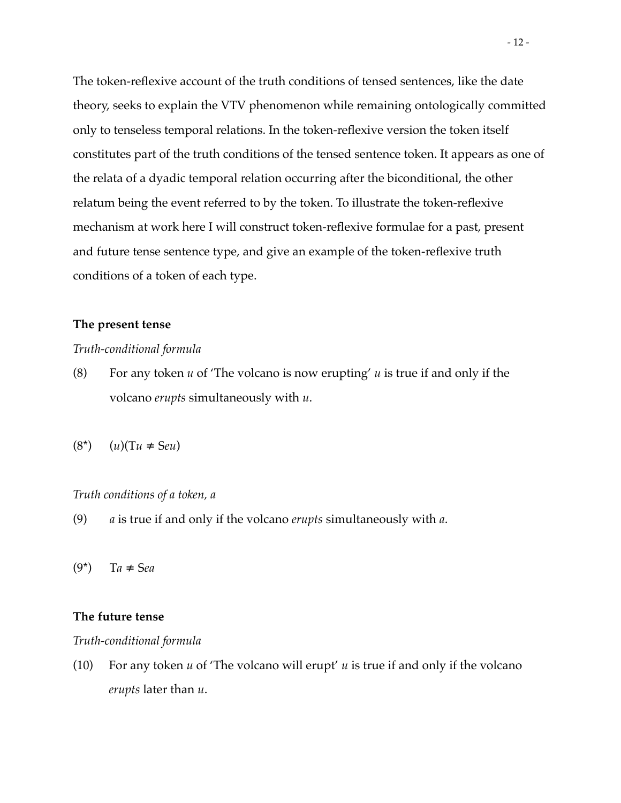The token-reflexive account of the truth conditions of tensed sentences, like the date theory, seeks to explain the VTV phenomenon while remaining ontologically committed only to tenseless temporal relations. In the token-reflexive version the token itself constitutes part of the truth conditions of the tensed sentence token. It appears as one of the relata of a dyadic temporal relation occurring after the biconditional, the other relatum being the event referred to by the token. To illustrate the token-reflexive mechanism at work here I will construct token-reflexive formulae for a past, present and future tense sentence type, and give an example of the token-reflexive truth conditions of a token of each type.

#### **The present tense**

#### *Truth-conditional formula*

- (8) For any token *u* of 'The volcano is now erupting' *u* is true if and only if the volcano *erupts* simultaneously with *u*.
- $(8^*)$   $(u)(Tu \neq Seu)$

#### *Truth conditions of a token, a*

- (9) *a* is true if and only if the volcano *erupts* simultaneously with *a*.
- (9\*) T*a* ≠ S*ea*

#### **The future tense**

#### *Truth-conditional formula*

(10) For any token *u* of 'The volcano will erupt' *u* is true if and only if the volcano *erupts* later than *u*.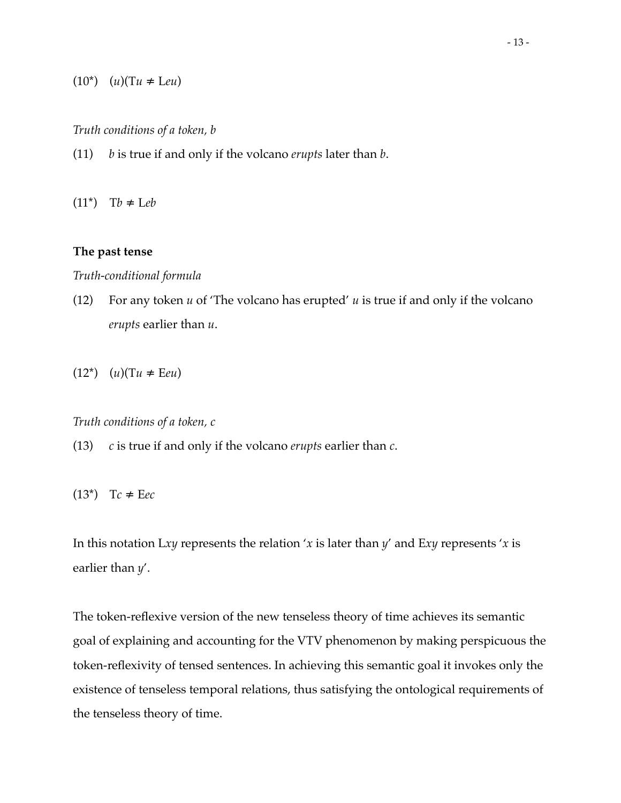$(10^*)$   $(u)(Tu \neq \text{Leu})$ 

*Truth conditions of a token, b*

(11) *b* is true if and only if the volcano *erupts* later than *b*.

(11\*) T*b* ≠ L*eb*

## **The past tense**

*Truth-conditional formula*

- (12) For any token *u* of 'The volcano has erupted' *u* is true if and only if the volcano *erupts* earlier than *u*.
- (12\*) (*u*)(T*u* ≠ E*eu*)

*Truth conditions of a token, c*

(13) *c* is true if and only if the volcano *erupts* earlier than *c*.

(13\*) T*c* ≠ E*ec*

In this notation L*xy* represents the relation '*x* is later than *y*' and E*xy* represents '*x* is earlier than *y*'.

The token-reflexive version of the new tenseless theory of time achieves its semantic goal of explaining and accounting for the VTV phenomenon by making perspicuous the token-reflexivity of tensed sentences. In achieving this semantic goal it invokes only the existence of tenseless temporal relations, thus satisfying the ontological requirements of the tenseless theory of time.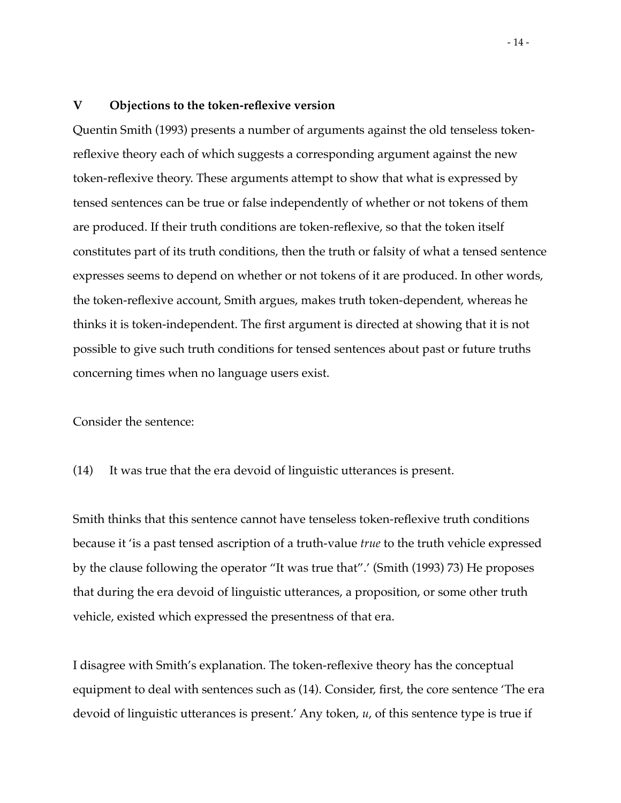# **V Objections to the token-reflexive version**

Quentin Smith (1993) presents a number of arguments against the old tenseless tokenreflexive theory each of which suggests a corresponding argument against the new token-reflexive theory. These arguments attempt to show that what is expressed by tensed sentences can be true or false independently of whether or not tokens of them are produced. If their truth conditions are token-reflexive, so that the token itself constitutes part of its truth conditions, then the truth or falsity of what a tensed sentence expresses seems to depend on whether or not tokens of it are produced. In other words, the token-reflexive account, Smith argues, makes truth token-dependent, whereas he thinks it is token-independent. The first argument is directed at showing that it is not possible to give such truth conditions for tensed sentences about past or future truths concerning times when no language users exist.

Consider the sentence:

(14) It was true that the era devoid of linguistic utterances is present.

Smith thinks that this sentence cannot have tenseless token-reflexive truth conditions because it 'is a past tensed ascription of a truth-value *true* to the truth vehicle expressed by the clause following the operator "It was true that".' (Smith (1993) 73) He proposes that during the era devoid of linguistic utterances, a proposition, or some other truth vehicle, existed which expressed the presentness of that era.

I disagree with Smith's explanation. The token-reflexive theory has the conceptual equipment to deal with sentences such as (14). Consider, first, the core sentence 'The era devoid of linguistic utterances is present.' Any token, *u*, of this sentence type is true if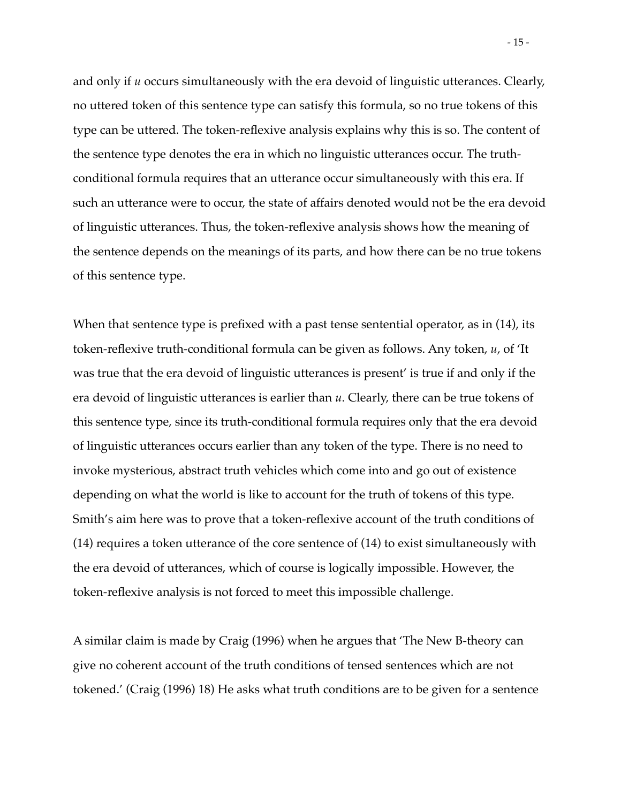and only if *u* occurs simultaneously with the era devoid of linguistic utterances. Clearly, no uttered token of this sentence type can satisfy this formula, so no true tokens of this type can be uttered. The token-reflexive analysis explains why this is so. The content of the sentence type denotes the era in which no linguistic utterances occur. The truthconditional formula requires that an utterance occur simultaneously with this era. If such an utterance were to occur, the state of affairs denoted would not be the era devoid of linguistic utterances. Thus, the token-reflexive analysis shows how the meaning of the sentence depends on the meanings of its parts, and how there can be no true tokens of this sentence type.

When that sentence type is prefixed with a past tense sentential operator, as in (14), its token-reflexive truth-conditional formula can be given as follows. Any token, *u*, of 'It was true that the era devoid of linguistic utterances is present' is true if and only if the era devoid of linguistic utterances is earlier than *u*. Clearly, there can be true tokens of this sentence type, since its truth-conditional formula requires only that the era devoid of linguistic utterances occurs earlier than any token of the type. There is no need to invoke mysterious, abstract truth vehicles which come into and go out of existence depending on what the world is like to account for the truth of tokens of this type. Smith's aim here was to prove that a token-reflexive account of the truth conditions of (14) requires a token utterance of the core sentence of (14) to exist simultaneously with the era devoid of utterances, which of course is logically impossible. However, the token-reflexive analysis is not forced to meet this impossible challenge.

A similar claim is made by Craig (1996) when he argues that 'The New B-theory can give no coherent account of the truth conditions of tensed sentences which are not tokened.' (Craig (1996) 18) He asks what truth conditions are to be given for a sentence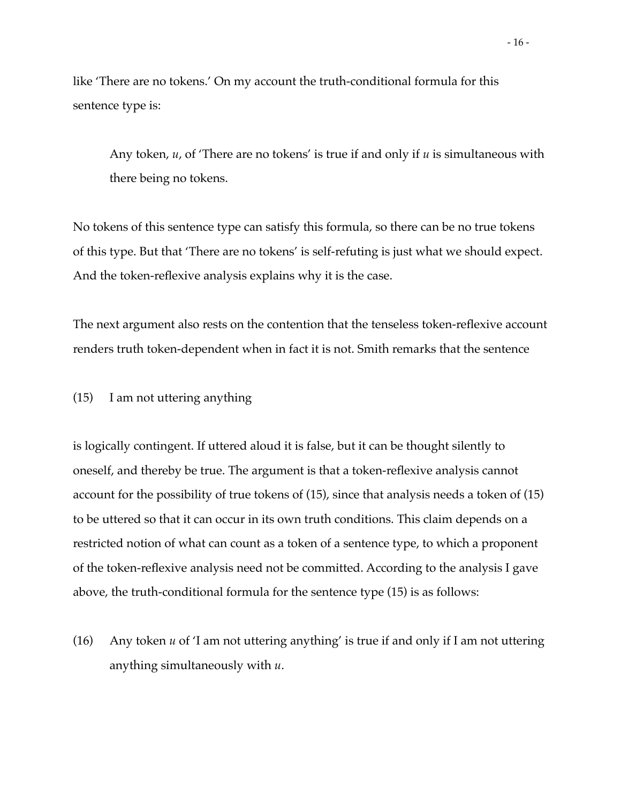like 'There are no tokens.' On my account the truth-conditional formula for this sentence type is:

Any token, *u*, of 'There are no tokens' is true if and only if *u* is simultaneous with there being no tokens.

No tokens of this sentence type can satisfy this formula, so there can be no true tokens of this type. But that 'There are no tokens' is self-refuting is just what we should expect. And the token-reflexive analysis explains why it is the case.

The next argument also rests on the contention that the tenseless token-reflexive account renders truth token-dependent when in fact it is not. Smith remarks that the sentence

(15) I am not uttering anything

is logically contingent. If uttered aloud it is false, but it can be thought silently to oneself, and thereby be true. The argument is that a token-reflexive analysis cannot account for the possibility of true tokens of (15), since that analysis needs a token of (15) to be uttered so that it can occur in its own truth conditions. This claim depends on a restricted notion of what can count as a token of a sentence type, to which a proponent of the token-reflexive analysis need not be committed. According to the analysis I gave above, the truth-conditional formula for the sentence type (15) is as follows:

(16) Any token *u* of 'I am not uttering anything' is true if and only if I am not uttering anything simultaneously with *u*.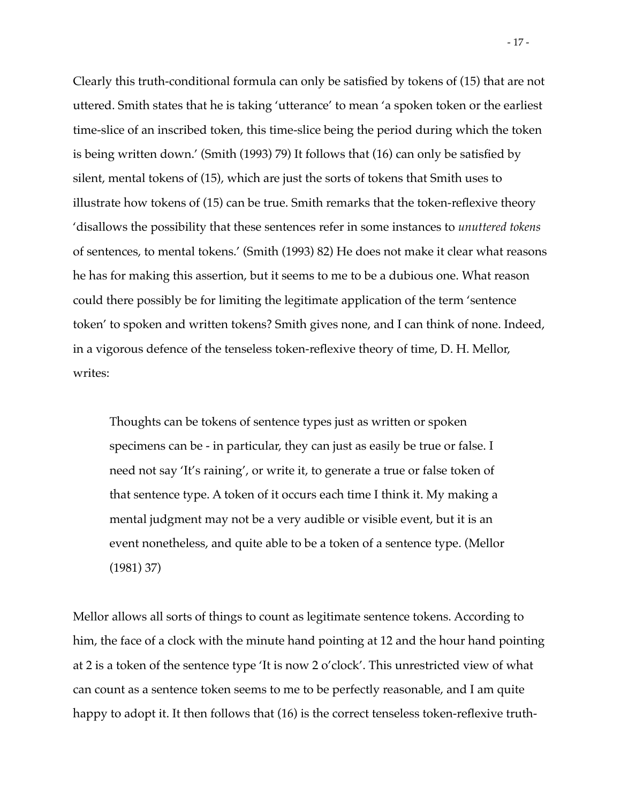Clearly this truth-conditional formula can only be satisfied by tokens of (15) that are not uttered. Smith states that he is taking 'utterance' to mean 'a spoken token or the earliest time-slice of an inscribed token, this time-slice being the period during which the token is being written down.' (Smith (1993) 79) It follows that (16) can only be satisfied by silent, mental tokens of (15), which are just the sorts of tokens that Smith uses to illustrate how tokens of (15) can be true. Smith remarks that the token-reflexive theory 'disallows the possibility that these sentences refer in some instances to *unuttered tokens* of sentences, to mental tokens.' (Smith (1993) 82) He does not make it clear what reasons he has for making this assertion, but it seems to me to be a dubious one. What reason could there possibly be for limiting the legitimate application of the term 'sentence token' to spoken and written tokens? Smith gives none, and I can think of none. Indeed, in a vigorous defence of the tenseless token-reflexive theory of time, D. H. Mellor, writes:

Thoughts can be tokens of sentence types just as written or spoken specimens can be - in particular, they can just as easily be true or false. I need not say 'It's raining', or write it, to generate a true or false token of that sentence type. A token of it occurs each time I think it. My making a mental judgment may not be a very audible or visible event, but it is an event nonetheless, and quite able to be a token of a sentence type. (Mellor (1981) 37)

Mellor allows all sorts of things to count as legitimate sentence tokens. According to him, the face of a clock with the minute hand pointing at 12 and the hour hand pointing at 2 is a token of the sentence type 'It is now 2 o'clock'. This unrestricted view of what can count as a sentence token seems to me to be perfectly reasonable, and I am quite happy to adopt it. It then follows that (16) is the correct tenseless token-reflexive truth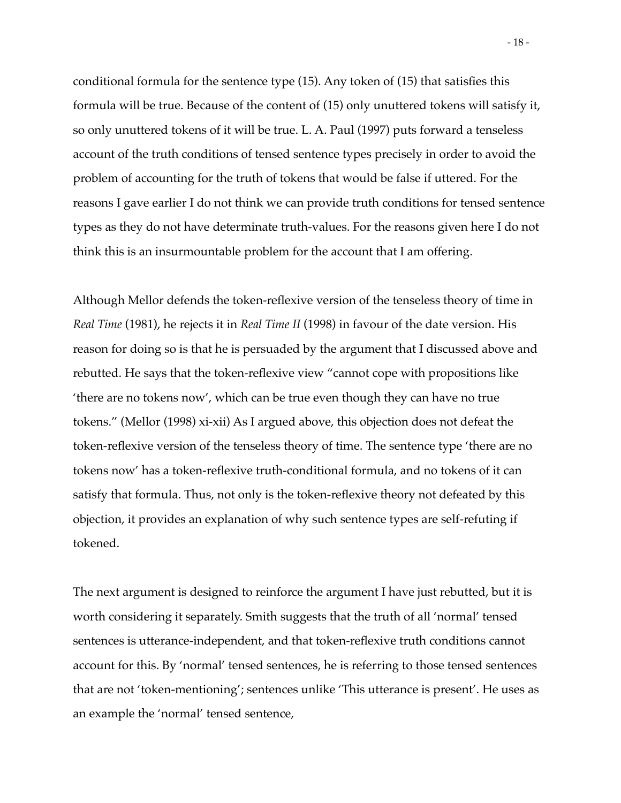conditional formula for the sentence type (15). Any token of (15) that satisfies this formula will be true. Because of the content of (15) only unuttered tokens will satisfy it, so only unuttered tokens of it will be true. L. A. Paul (1997) puts forward a tenseless account of the truth conditions of tensed sentence types precisely in order to avoid the problem of accounting for the truth of tokens that would be false if uttered. For the reasons I gave earlier I do not think we can provide truth conditions for tensed sentence types as they do not have determinate truth-values. For the reasons given here I do not think this is an insurmountable problem for the account that I am offering.

Although Mellor defends the token-reflexive version of the tenseless theory of time in *Real Time* (1981), he rejects it in *Real Time II* (1998) in favour of the date version. His reason for doing so is that he is persuaded by the argument that I discussed above and rebutted. He says that the token-reflexive view "cannot cope with propositions like 'there are no tokens now', which can be true even though they can have no true tokens." (Mellor (1998) xi-xii) As I argued above, this objection does not defeat the token-reflexive version of the tenseless theory of time. The sentence type 'there are no tokens now' has a token-reflexive truth-conditional formula, and no tokens of it can satisfy that formula. Thus, not only is the token-reflexive theory not defeated by this objection, it provides an explanation of why such sentence types are self-refuting if tokened.

The next argument is designed to reinforce the argument I have just rebutted, but it is worth considering it separately. Smith suggests that the truth of all 'normal' tensed sentences is utterance-independent, and that token-reflexive truth conditions cannot account for this. By 'normal' tensed sentences, he is referring to those tensed sentences that are not 'token-mentioning'; sentences unlike 'This utterance is present'. He uses as an example the 'normal' tensed sentence,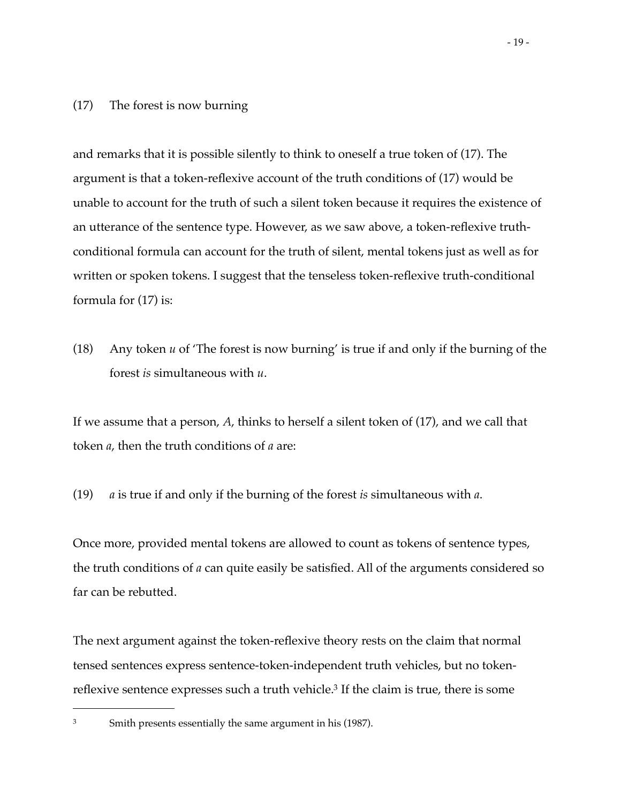## (17) The forest is now burning

and remarks that it is possible silently to think to oneself a true token of (17). The argument is that a token-reflexive account of the truth conditions of (17) would be unable to account for the truth of such a silent token because it requires the existence of an utterance of the sentence type. However, as we saw above, a token-reflexive truthconditional formula can account for the truth of silent, mental tokens just as well as for written or spoken tokens. I suggest that the tenseless token-reflexive truth-conditional formula for (17) is:

(18) Any token *u* of 'The forest is now burning' is true if and only if the burning of the forest *is* simultaneous with *u*.

If we assume that a person, *A*, thinks to herself a silent token of (17), and we call that token *a*, then the truth conditions of *a* are:

(19) *a* is true if and only if the burning of the forest *is* simultaneous with *a*.

Once more, provided mental tokens are allowed to count as tokens of sentence types, the truth conditions of *a* can quite easily be satisfied. All of the arguments considered so far can be rebutted.

The next argument against the token-reflexive theory rests on the claim that normal tensed sentences express sentence-token-independent truth vehicles, but no tokenreflexive sentence expresses such a truth vehicle.<sup>3</sup> If the claim is true, there is some

<span id="page-20-0"></span><sup>&</sup>lt;sup>3</sup> Smith presents essentially the same argument in his (1987).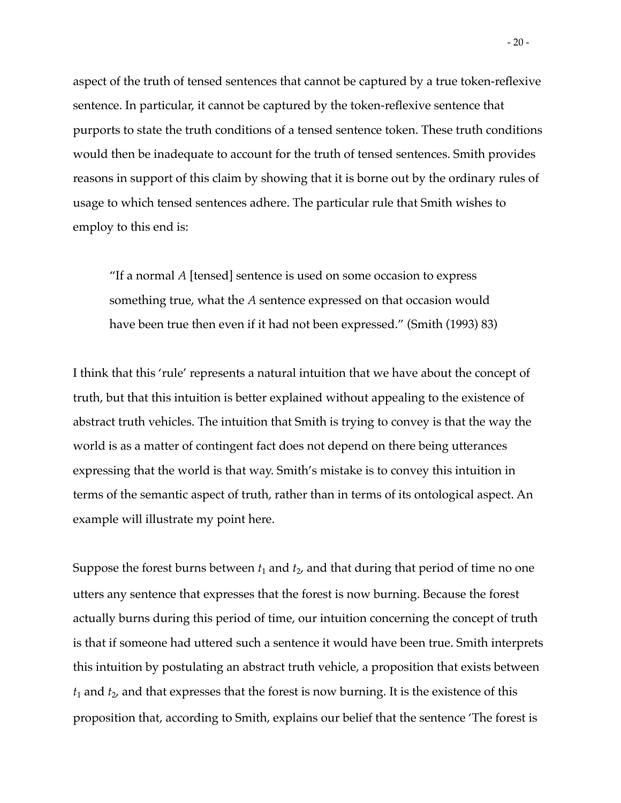aspect of the truth of tensed sentences that cannot be captured by a true token-reflexive sentence. In particular, it cannot be captured by the token-reflexive sentence that purports to state the truth conditions of a tensed sentence token. These truth conditions would then be inadequate to account for the truth of tensed sentences. Smith provides reasons in support of this claim by showing that it is borne out by the ordinary rules of usage to which tensed sentences adhere. The particular rule that Smith wishes to employ to this end is:

"If a normal *A* [tensed] sentence is used on some occasion to express something true, what the *A* sentence expressed on that occasion would have been true then even if it had not been expressed." (Smith (1993) 83)

I think that this 'rule' represents a natural intuition that we have about the concept of truth, but that this intuition is better explained without appealing to the existence of abstract truth vehicles. The intuition that Smith is trying to convey is that the way the world is as a matter of contingent fact does not depend on there being utterances expressing that the world is that way. Smith's mistake is to convey this intuition in terms of the semantic aspect of truth, rather than in terms of its ontological aspect. An example will illustrate my point here.

Suppose the forest burns between  $t_1$  and  $t_2$ , and that during that period of time no one utters any sentence that expresses that the forest is now burning. Because the forest actually burns during this period of time, our intuition concerning the concept of truth is that if someone had uttered such a sentence it would have been true. Smith interprets this intuition by postulating an abstract truth vehicle, a proposition that exists between  $t_1$  and  $t_2$ , and that expresses that the forest is now burning. It is the existence of this proposition that, according to Smith, explains our belief that the sentence 'The forest is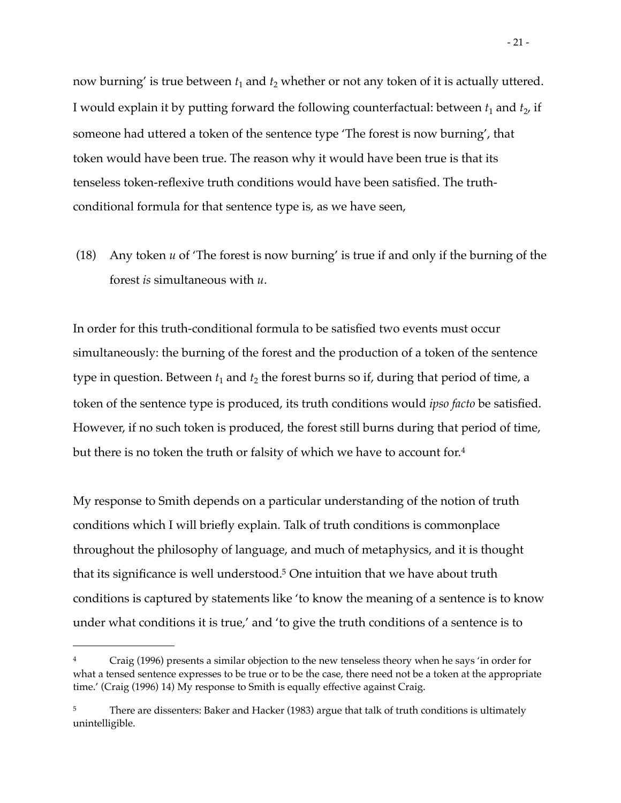now burning' is true between  $t_1$  and  $t_2$  whether or not any token of it is actually uttered. I would explain it by putting forward the following counterfactual: between  $t_1$  and  $t_2$ , if someone had uttered a token of the sentence type 'The forest is now burning', that token would have been true. The reason why it would have been true is that its tenseless token-reflexive truth conditions would have been satisfied. The truthconditional formula for that sentence type is, as we have seen,

 (18) Any token *u* of 'The forest is now burning' is true if and only if the burning of the forest *is* simultaneous with *u*.

In order for this truth-conditional formula to be satisfied two events must occur simultaneously: the burning of the forest and the production of a token of the sentence type in question. Between  $t_1$  and  $t_2$  the forest burns so if, during that period of time, a token of the sentence type is produced, its truth conditions would *ipso facto* be satisfied. However, if no such token is produced, the forest still burns during that period of time, but there is no token the truth or falsity of which we have to account for.[4](#page-22-0)

My response to Smith depends on a particular understanding of the notion of truth conditions which I will briefly explain. Talk of truth conditions is commonplace throughout the philosophy of language, and much of metaphysics, and it is thought that its significance is well understood[.5](#page-22-1) One intuition that we have about truth conditions is captured by statements like 'to know the meaning of a sentence is to know under what conditions it is true,' and 'to give the truth conditions of a sentence is to

<span id="page-22-0"></span><sup>4</sup> Craig (1996) presents a similar objection to the new tenseless theory when he says 'in order for what a tensed sentence expresses to be true or to be the case, there need not be a token at the appropriate time.' (Craig (1996) 14) My response to Smith is equally effective against Craig.

<span id="page-22-1"></span><sup>&</sup>lt;sup>5</sup> There are dissenters: Baker and Hacker (1983) argue that talk of truth conditions is ultimately unintelligible.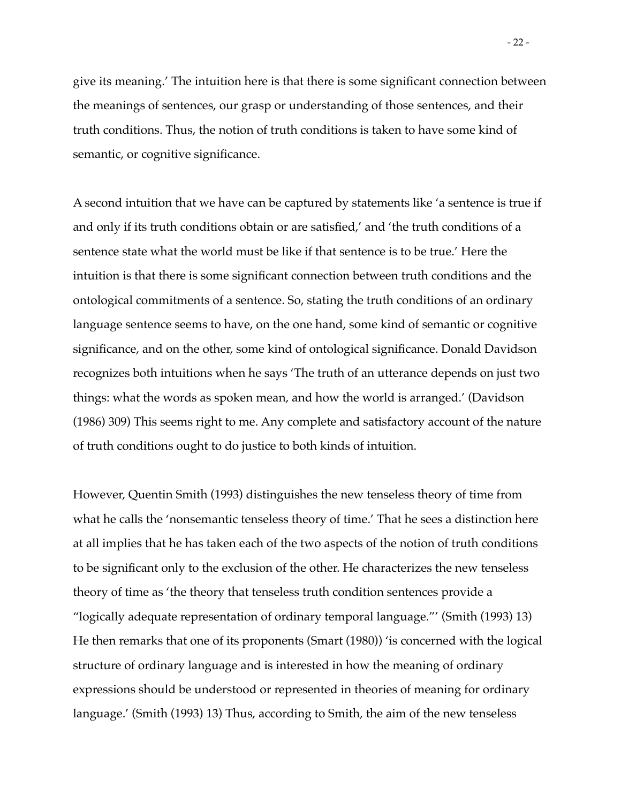give its meaning.' The intuition here is that there is some significant connection between the meanings of sentences, our grasp or understanding of those sentences, and their truth conditions. Thus, the notion of truth conditions is taken to have some kind of semantic, or cognitive significance.

A second intuition that we have can be captured by statements like 'a sentence is true if and only if its truth conditions obtain or are satisfied,' and 'the truth conditions of a sentence state what the world must be like if that sentence is to be true.' Here the intuition is that there is some significant connection between truth conditions and the ontological commitments of a sentence. So, stating the truth conditions of an ordinary language sentence seems to have, on the one hand, some kind of semantic or cognitive significance, and on the other, some kind of ontological significance. Donald Davidson recognizes both intuitions when he says 'The truth of an utterance depends on just two things: what the words as spoken mean, and how the world is arranged.' (Davidson (1986) 309) This seems right to me. Any complete and satisfactory account of the nature of truth conditions ought to do justice to both kinds of intuition.

However, Quentin Smith (1993) distinguishes the new tenseless theory of time from what he calls the 'nonsemantic tenseless theory of time.' That he sees a distinction here at all implies that he has taken each of the two aspects of the notion of truth conditions to be significant only to the exclusion of the other. He characterizes the new tenseless theory of time as 'the theory that tenseless truth condition sentences provide a "logically adequate representation of ordinary temporal language."' (Smith (1993) 13) He then remarks that one of its proponents (Smart (1980)) 'is concerned with the logical structure of ordinary language and is interested in how the meaning of ordinary expressions should be understood or represented in theories of meaning for ordinary language.' (Smith (1993) 13) Thus, according to Smith, the aim of the new tenseless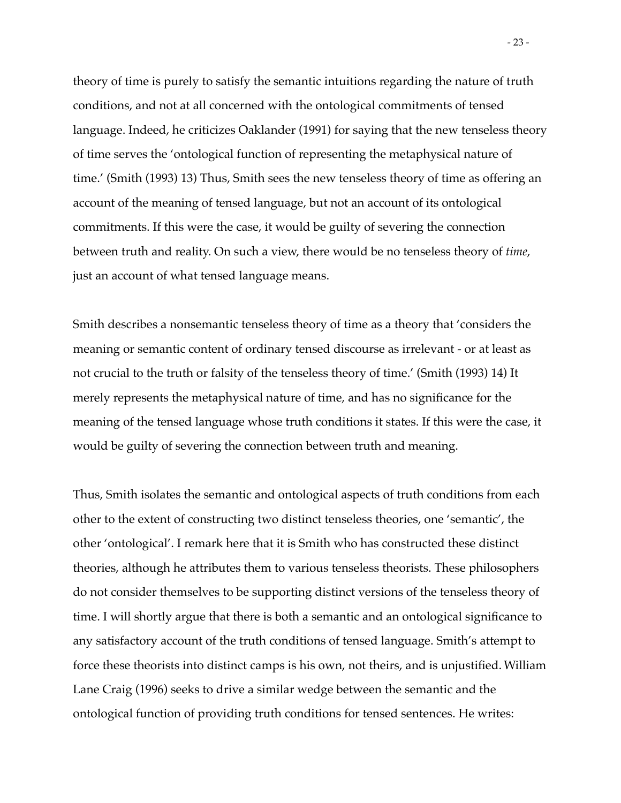theory of time is purely to satisfy the semantic intuitions regarding the nature of truth conditions, and not at all concerned with the ontological commitments of tensed language. Indeed, he criticizes Oaklander (1991) for saying that the new tenseless theory of time serves the 'ontological function of representing the metaphysical nature of time.' (Smith (1993) 13) Thus, Smith sees the new tenseless theory of time as offering an account of the meaning of tensed language, but not an account of its ontological commitments. If this were the case, it would be guilty of severing the connection between truth and reality. On such a view, there would be no tenseless theory of *time*, just an account of what tensed language means.

Smith describes a nonsemantic tenseless theory of time as a theory that 'considers the meaning or semantic content of ordinary tensed discourse as irrelevant - or at least as not crucial to the truth or falsity of the tenseless theory of time.' (Smith (1993) 14) It merely represents the metaphysical nature of time, and has no significance for the meaning of the tensed language whose truth conditions it states. If this were the case, it would be guilty of severing the connection between truth and meaning.

Thus, Smith isolates the semantic and ontological aspects of truth conditions from each other to the extent of constructing two distinct tenseless theories, one 'semantic', the other 'ontological'. I remark here that it is Smith who has constructed these distinct theories, although he attributes them to various tenseless theorists. These philosophers do not consider themselves to be supporting distinct versions of the tenseless theory of time. I will shortly argue that there is both a semantic and an ontological significance to any satisfactory account of the truth conditions of tensed language. Smith's attempt to force these theorists into distinct camps is his own, not theirs, and is unjustified. William Lane Craig (1996) seeks to drive a similar wedge between the semantic and the ontological function of providing truth conditions for tensed sentences. He writes: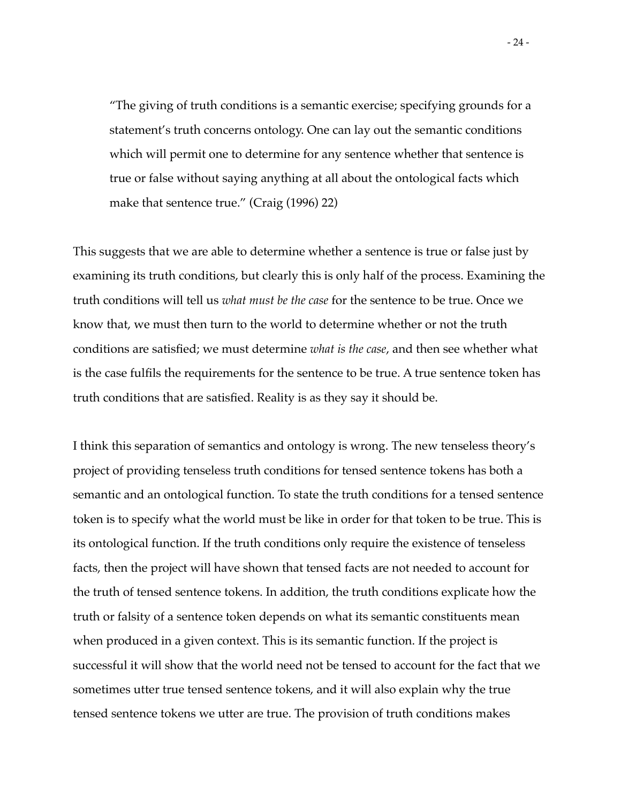"The giving of truth conditions is a semantic exercise; specifying grounds for a statement's truth concerns ontology. One can lay out the semantic conditions which will permit one to determine for any sentence whether that sentence is true or false without saying anything at all about the ontological facts which make that sentence true." (Craig (1996) 22)

This suggests that we are able to determine whether a sentence is true or false just by examining its truth conditions, but clearly this is only half of the process. Examining the truth conditions will tell us *what must be the case* for the sentence to be true. Once we know that, we must then turn to the world to determine whether or not the truth conditions are satisfied; we must determine *what is the case*, and then see whether what is the case fulfils the requirements for the sentence to be true. A true sentence token has truth conditions that are satisfied. Reality is as they say it should be.

I think this separation of semantics and ontology is wrong. The new tenseless theory's project of providing tenseless truth conditions for tensed sentence tokens has both a semantic and an ontological function. To state the truth conditions for a tensed sentence token is to specify what the world must be like in order for that token to be true. This is its ontological function. If the truth conditions only require the existence of tenseless facts, then the project will have shown that tensed facts are not needed to account for the truth of tensed sentence tokens. In addition, the truth conditions explicate how the truth or falsity of a sentence token depends on what its semantic constituents mean when produced in a given context. This is its semantic function. If the project is successful it will show that the world need not be tensed to account for the fact that we sometimes utter true tensed sentence tokens, and it will also explain why the true tensed sentence tokens we utter are true. The provision of truth conditions makes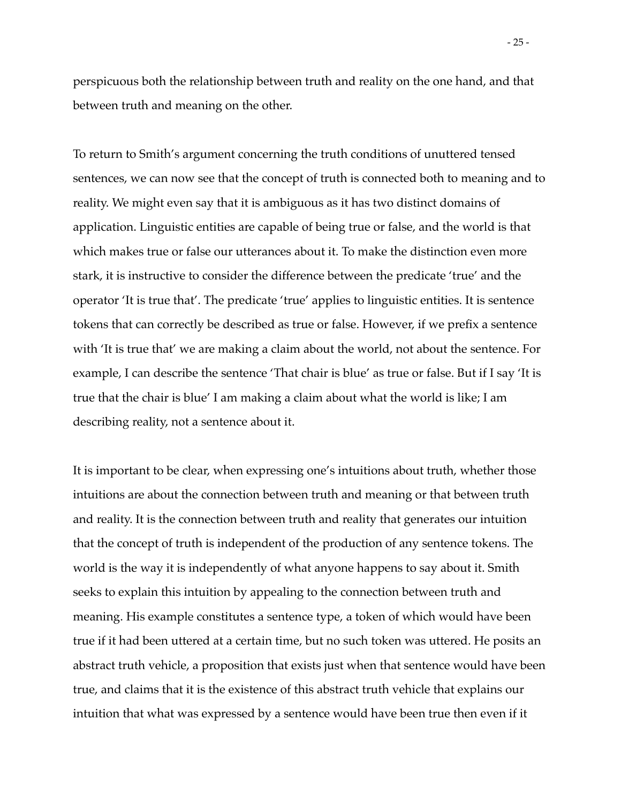perspicuous both the relationship between truth and reality on the one hand, and that between truth and meaning on the other.

To return to Smith's argument concerning the truth conditions of unuttered tensed sentences, we can now see that the concept of truth is connected both to meaning and to reality. We might even say that it is ambiguous as it has two distinct domains of application. Linguistic entities are capable of being true or false, and the world is that which makes true or false our utterances about it. To make the distinction even more stark, it is instructive to consider the difference between the predicate 'true' and the operator 'It is true that'. The predicate 'true' applies to linguistic entities. It is sentence tokens that can correctly be described as true or false. However, if we prefix a sentence with 'It is true that' we are making a claim about the world, not about the sentence. For example, I can describe the sentence 'That chair is blue' as true or false. But if I say 'It is true that the chair is blue' I am making a claim about what the world is like; I am describing reality, not a sentence about it.

It is important to be clear, when expressing one's intuitions about truth, whether those intuitions are about the connection between truth and meaning or that between truth and reality. It is the connection between truth and reality that generates our intuition that the concept of truth is independent of the production of any sentence tokens. The world is the way it is independently of what anyone happens to say about it. Smith seeks to explain this intuition by appealing to the connection between truth and meaning. His example constitutes a sentence type, a token of which would have been true if it had been uttered at a certain time, but no such token was uttered. He posits an abstract truth vehicle, a proposition that exists just when that sentence would have been true, and claims that it is the existence of this abstract truth vehicle that explains our intuition that what was expressed by a sentence would have been true then even if it

- 25 -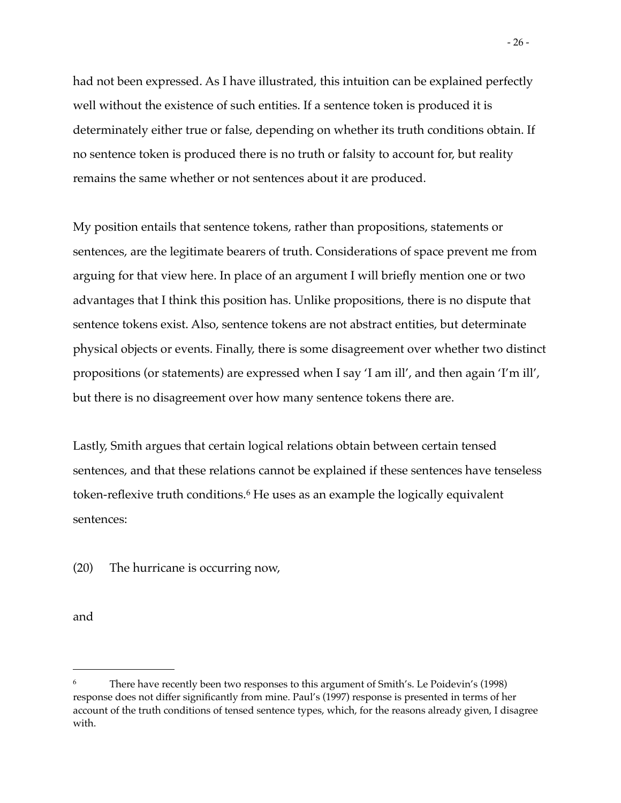had not been expressed. As I have illustrated, this intuition can be explained perfectly well without the existence of such entities. If a sentence token is produced it is determinately either true or false, depending on whether its truth conditions obtain. If no sentence token is produced there is no truth or falsity to account for, but reality remains the same whether or not sentences about it are produced.

My position entails that sentence tokens, rather than propositions, statements or sentences, are the legitimate bearers of truth. Considerations of space prevent me from arguing for that view here. In place of an argument I will briefly mention one or two advantages that I think this position has. Unlike propositions, there is no dispute that sentence tokens exist. Also, sentence tokens are not abstract entities, but determinate physical objects or events. Finally, there is some disagreement over whether two distinct propositions (or statements) are expressed when I say 'I am ill', and then again 'I'm ill', but there is no disagreement over how many sentence tokens there are.

Lastly, Smith argues that certain logical relations obtain between certain tensed sentences, and that these relations cannot be explained if these sentences have tenseless token-reflexive truth conditions.<sup>6</sup> He uses as an example the logically equivalent sentences:

(20) The hurricane is occurring now,

and

<span id="page-27-0"></span><sup>6</sup> There have recently been two responses to this argument of Smith's. Le Poidevin's (1998) response does not differ significantly from mine. Paul's (1997) response is presented in terms of her account of the truth conditions of tensed sentence types, which, for the reasons already given, I disagree with.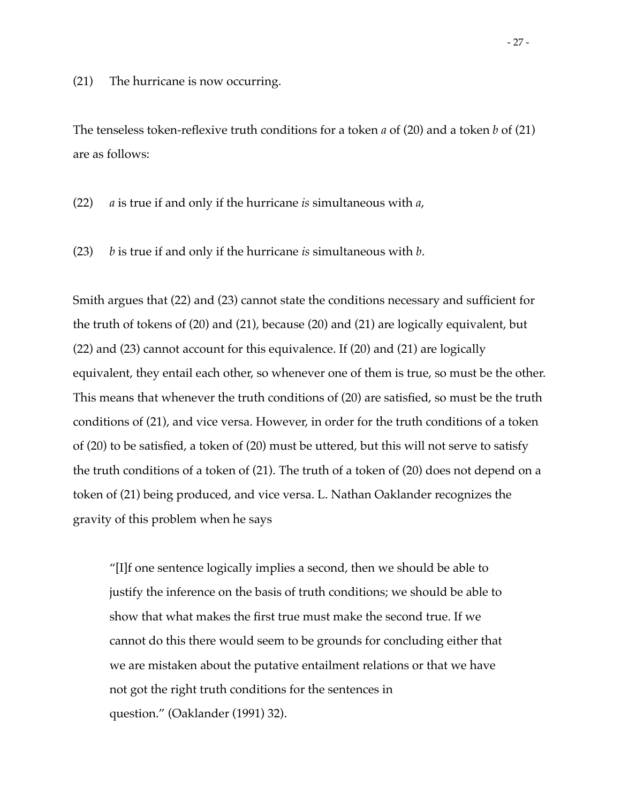(21) The hurricane is now occurring.

The tenseless token-reflexive truth conditions for a token *a* of (20) and a token *b* of (21) are as follows:

(22) *a* is true if and only if the hurricane *is* simultaneous with *a*,

(23) *b* is true if and only if the hurricane *is* simultaneous with *b*.

Smith argues that (22) and (23) cannot state the conditions necessary and sufficient for the truth of tokens of (20) and (21), because (20) and (21) are logically equivalent, but (22) and (23) cannot account for this equivalence. If (20) and (21) are logically equivalent, they entail each other, so whenever one of them is true, so must be the other. This means that whenever the truth conditions of (20) are satisfied, so must be the truth conditions of (21), and vice versa. However, in order for the truth conditions of a token of (20) to be satisfied, a token of (20) must be uttered, but this will not serve to satisfy the truth conditions of a token of (21). The truth of a token of (20) does not depend on a token of (21) being produced, and vice versa. L. Nathan Oaklander recognizes the gravity of this problem when he says

"[I]f one sentence logically implies a second, then we should be able to justify the inference on the basis of truth conditions; we should be able to show that what makes the first true must make the second true. If we cannot do this there would seem to be grounds for concluding either that we are mistaken about the putative entailment relations or that we have not got the right truth conditions for the sentences in question." (Oaklander (1991) 32).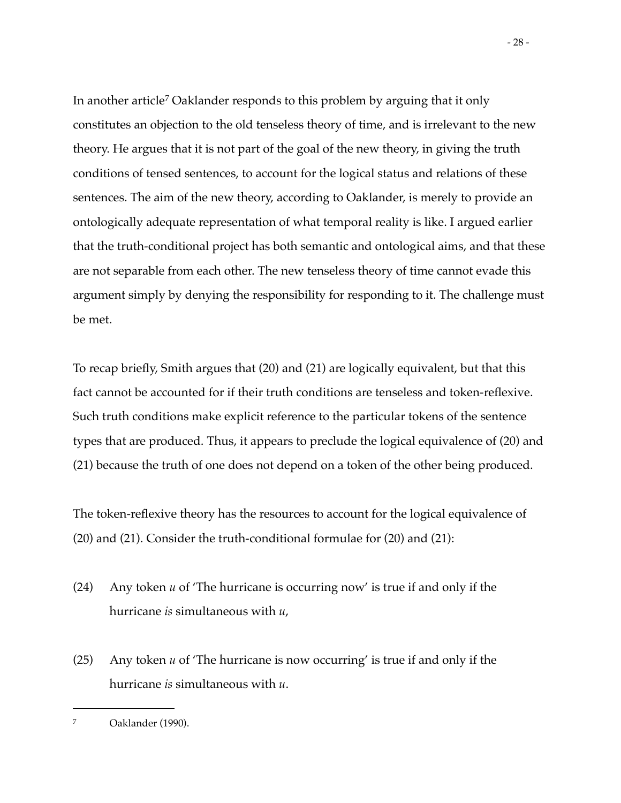In another article[7](#page-29-0) Oaklander responds to this problem by arguing that it only constitutes an objection to the old tenseless theory of time, and is irrelevant to the new theory. He argues that it is not part of the goal of the new theory, in giving the truth conditions of tensed sentences, to account for the logical status and relations of these sentences. The aim of the new theory, according to Oaklander, is merely to provide an ontologically adequate representation of what temporal reality is like. I argued earlier that the truth-conditional project has both semantic and ontological aims, and that these are not separable from each other. The new tenseless theory of time cannot evade this argument simply by denying the responsibility for responding to it. The challenge must be met.

To recap briefly, Smith argues that (20) and (21) are logically equivalent, but that this fact cannot be accounted for if their truth conditions are tenseless and token-reflexive. Such truth conditions make explicit reference to the particular tokens of the sentence types that are produced. Thus, it appears to preclude the logical equivalence of (20) and (21) because the truth of one does not depend on a token of the other being produced.

The token-reflexive theory has the resources to account for the logical equivalence of (20) and (21). Consider the truth-conditional formulae for (20) and (21):

- (24) Any token *u* of 'The hurricane is occurring now' is true if and only if the hurricane *is* simultaneous with *u*,
- (25) Any token *u* of 'The hurricane is now occurring' is true if and only if the hurricane *is* simultaneous with *u*.

<span id="page-29-0"></span><sup>7</sup> Oaklander (1990).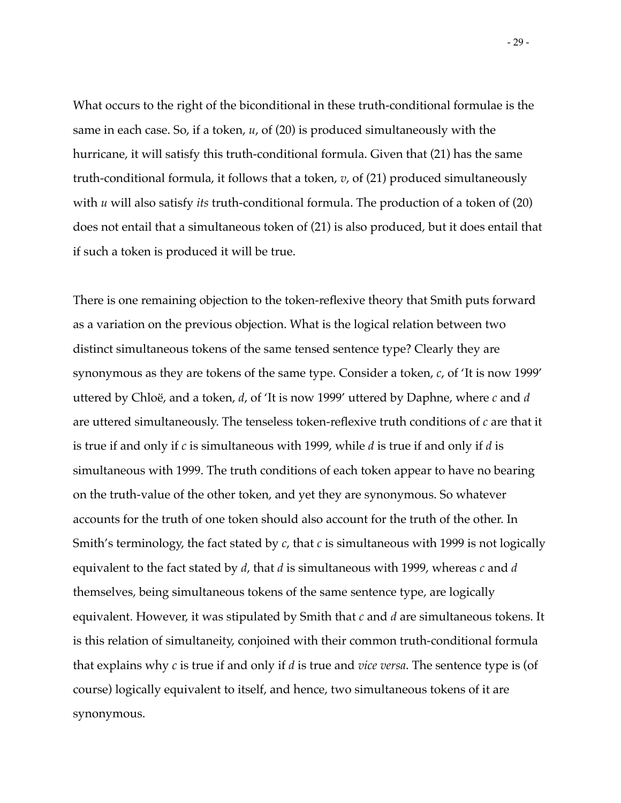What occurs to the right of the biconditional in these truth-conditional formulae is the same in each case. So, if a token, *u*, of (20) is produced simultaneously with the hurricane, it will satisfy this truth-conditional formula. Given that (21) has the same truth-conditional formula, it follows that a token, *v*, of (21) produced simultaneously with *u* will also satisfy *its* truth-conditional formula. The production of a token of (20) does not entail that a simultaneous token of (21) is also produced, but it does entail that if such a token is produced it will be true.

There is one remaining objection to the token-reflexive theory that Smith puts forward as a variation on the previous objection. What is the logical relation between two distinct simultaneous tokens of the same tensed sentence type? Clearly they are synonymous as they are tokens of the same type. Consider a token, *c*, of 'It is now 1999' uttered by Chloë, and a token, *d*, of 'It is now 1999' uttered by Daphne, where *c* and *d* are uttered simultaneously. The tenseless token-reflexive truth conditions of *c* are that it is true if and only if *c* is simultaneous with 1999, while *d* is true if and only if *d* is simultaneous with 1999. The truth conditions of each token appear to have no bearing on the truth-value of the other token, and yet they are synonymous. So whatever accounts for the truth of one token should also account for the truth of the other. In Smith's terminology, the fact stated by *c*, that *c* is simultaneous with 1999 is not logically equivalent to the fact stated by *d*, that *d* is simultaneous with 1999, whereas *c* and *d* themselves, being simultaneous tokens of the same sentence type, are logically equivalent. However, it was stipulated by Smith that *c* and *d* are simultaneous tokens. It is this relation of simultaneity, conjoined with their common truth-conditional formula that explains why *c* is true if and only if *d* is true and *vice versa*. The sentence type is (of course) logically equivalent to itself, and hence, two simultaneous tokens of it are synonymous.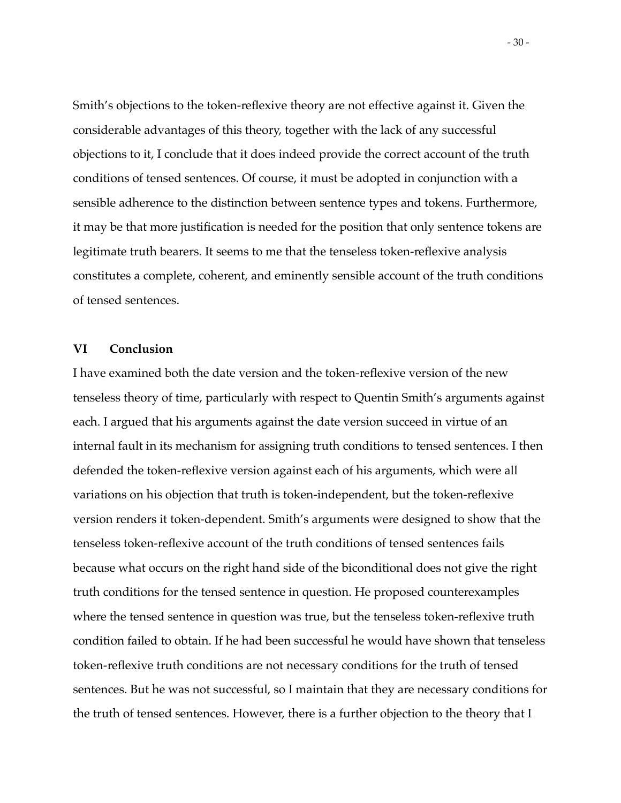Smith's objections to the token-reflexive theory are not effective against it. Given the considerable advantages of this theory, together with the lack of any successful objections to it, I conclude that it does indeed provide the correct account of the truth conditions of tensed sentences. Of course, it must be adopted in conjunction with a sensible adherence to the distinction between sentence types and tokens. Furthermore, it may be that more justification is needed for the position that only sentence tokens are legitimate truth bearers. It seems to me that the tenseless token-reflexive analysis constitutes a complete, coherent, and eminently sensible account of the truth conditions of tensed sentences.

#### **VI Conclusion**

I have examined both the date version and the token-reflexive version of the new tenseless theory of time, particularly with respect to Quentin Smith's arguments against each. I argued that his arguments against the date version succeed in virtue of an internal fault in its mechanism for assigning truth conditions to tensed sentences. I then defended the token-reflexive version against each of his arguments, which were all variations on his objection that truth is token-independent, but the token-reflexive version renders it token-dependent. Smith's arguments were designed to show that the tenseless token-reflexive account of the truth conditions of tensed sentences fails because what occurs on the right hand side of the biconditional does not give the right truth conditions for the tensed sentence in question. He proposed counterexamples where the tensed sentence in question was true, but the tenseless token-reflexive truth condition failed to obtain. If he had been successful he would have shown that tenseless token-reflexive truth conditions are not necessary conditions for the truth of tensed sentences. But he was not successful, so I maintain that they are necessary conditions for the truth of tensed sentences. However, there is a further objection to the theory that I

- 30 -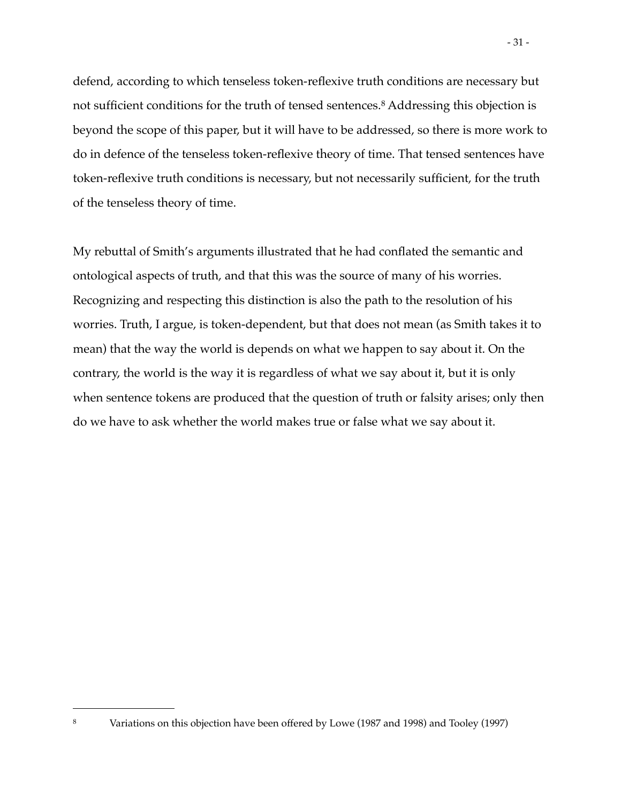defend, according to which tenseless token-reflexive truth conditions are necessary but not sufficient conditions for the truth of tensed sentences.<sup>8</sup> Addressing this objection is beyond the scope of this paper, but it will have to be addressed, so there is more work to do in defence of the tenseless token-reflexive theory of time. That tensed sentences have token-reflexive truth conditions is necessary, but not necessarily sufficient, for the truth of the tenseless theory of time.

My rebuttal of Smith's arguments illustrated that he had conflated the semantic and ontological aspects of truth, and that this was the source of many of his worries. Recognizing and respecting this distinction is also the path to the resolution of his worries. Truth, I argue, is token-dependent, but that does not mean (as Smith takes it to mean) that the way the world is depends on what we happen to say about it. On the contrary, the world is the way it is regardless of what we say about it, but it is only when sentence tokens are produced that the question of truth or falsity arises; only then do we have to ask whether the world makes true or false what we say about it.

- 31 -

<span id="page-32-0"></span><sup>8</sup> Variations on this objection have been offered by Lowe (1987 and 1998) and Tooley (1997)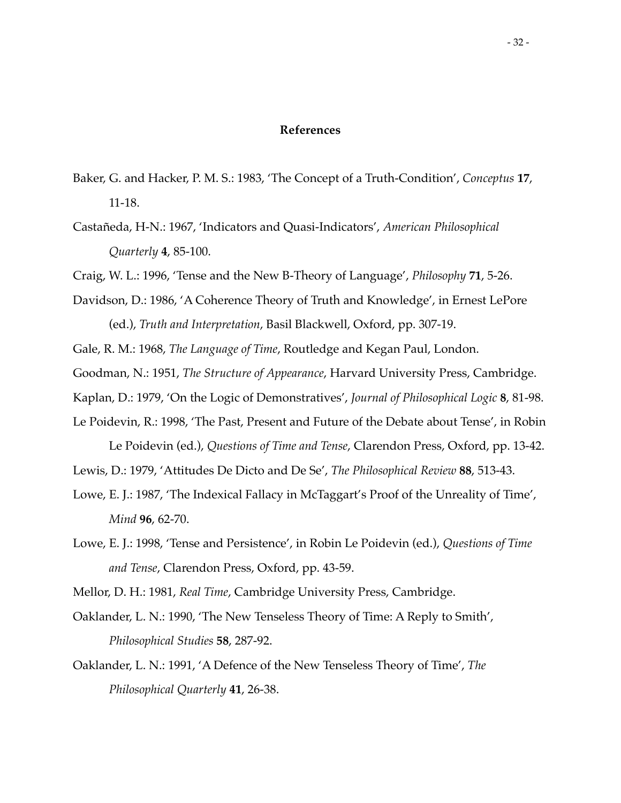#### **References**

- Baker, G. and Hacker, P. M. S.: 1983, 'The Concept of a Truth-Condition', *Conceptus* **17**, 11-18.
- Castañeda, H-N.: 1967, 'Indicators and Quasi-Indicators', *American Philosophical Quarterly* **4**, 85-100.
- Craig, W. L.: 1996, 'Tense and the New B-Theory of Language', *Philosophy* **71**, 5-26.
- Davidson, D.: 1986, 'A Coherence Theory of Truth and Knowledge', in Ernest LePore (ed.), *Truth and Interpretation*, Basil Blackwell, Oxford, pp. 307-19.
- Gale, R. M.: 1968, *The Language of Time*, Routledge and Kegan Paul, London.
- Goodman, N.: 1951, *The Structure of Appearance*, Harvard University Press, Cambridge.
- Kaplan, D.: 1979, 'On the Logic of Demonstratives', *Journal of Philosophical Logic* **8**, 81-98.
- Le Poidevin, R.: 1998, 'The Past, Present and Future of the Debate about Tense', in Robin Le Poidevin (ed.), *Questions of Time and Tense*, Clarendon Press, Oxford, pp. 13-42.
- Lewis, D.: 1979, 'Attitudes De Dicto and De Se', *The Philosophical Review* **88**, 513-43.
- Lowe, E. J.: 1987, 'The Indexical Fallacy in McTaggart's Proof of the Unreality of Time', *Mind* **96**, 62-70.
- Lowe, E. J.: 1998, 'Tense and Persistence', in Robin Le Poidevin (ed.), *Questions of Time and Tense*, Clarendon Press, Oxford, pp. 43-59.
- Mellor, D. H.: 1981, *Real Time*, Cambridge University Press, Cambridge.
- Oaklander, L. N.: 1990, 'The New Tenseless Theory of Time: A Reply to Smith', *Philosophical Studies* **58**, 287-92.
- Oaklander, L. N.: 1991, 'A Defence of the New Tenseless Theory of Time', *The Philosophical Quarterly* **41**, 26-38.